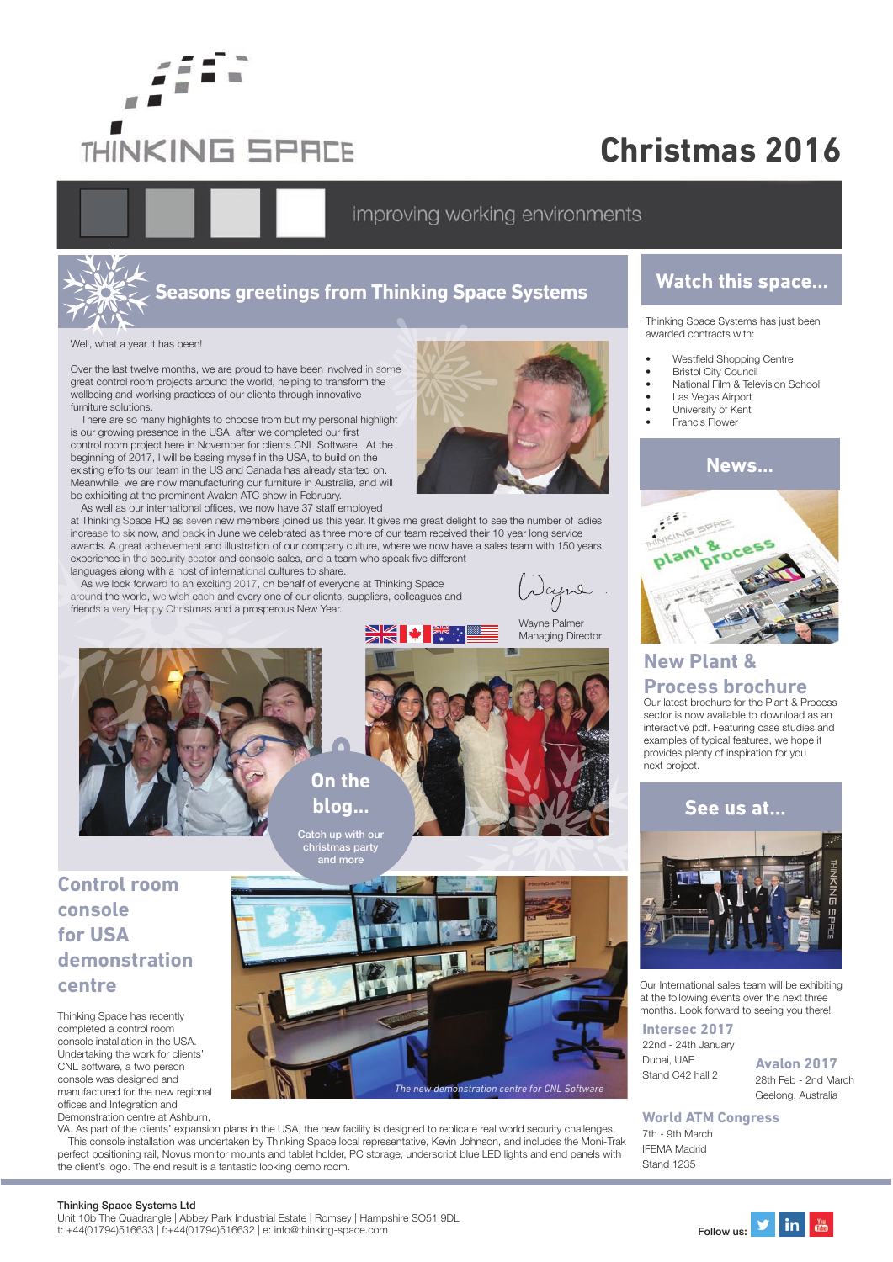

# **Christmas 2016**

improving working environments



# **Seasons greetings from Thinking Space Systems**

Well, what a year it has been!

Over the last twelve months, we are proud to have been involved in some great control room projects around the world, helping to transform the wellbeing and working practices of our clients through innovative furniture solutions.

There are so many highlights to choose from but my personal highlight is our growing presence in the USA, after we completed our first control room project here in November for clients CNL Software. At the beginning of 2017, I will be basing myself in the USA, to build on the existing efforts our team in the US and Canada has already started on. Meanwhile, we are now manufacturing our furniture in Australia, and will be exhibiting at the prominent Avalon ATC show in February.

As well as our international offices, we now have 37 staff employed

at Thinking Space HQ as seven new members joined us this year. It gives me great delight to see the number of ladies increase to six now, and back in June we celebrated as three more of our team received their 10 year long service awards. A great achievement and illustration of our company culture, where we now have a sales team with 150 years experience in the security sector and console sales, and a team who speak five different languages along with a host of international cultures to share.

As we look forward to an exciting 2017, on behalf of everyone at Thinking Space around the world, we wish each and every one of our clients, suppliers, colleagues and friends a very Happy Christmas and a prosperous New Year.

Japre

Wayne Palmer Managing Director



## **Control room console for USA demonstration centre**

Thinking Space has recently completed a control room console installation in the USA. Undertaking the work for clients' CNL software, a two person console was designed and manufactured for the new regional offices and Integration and Demonstration centre at Ashburn,



**DIE 4 DE** 

VA. As part of the clients' expansion plans in the USA, the new facility is designed to replicate real world security challenges. This console installation was undertaken by Thinking Space local representative, Kevin Johnson, and includes the Moni-Trak perfect positioning rail, Novus monitor mounts and tablet holder, PC storage, underscript blue LED lights and end panels with the client's logo. The end result is a fantastic looking demo room.

christmas party

## **Watch this space...**

Thinking Space Systems has just been awarded contracts with:

- Westfield Shopping Centre
- **Bristol City Council**
- National Film & Television School
- Las Vegas Airport University of Kent
- **Francis Flower**



## **New Plant & Process brochure**

Our latest brochure for the Plant & Process sector is now available to download as an interactive pdf. Featuring case studies and examples of typical features, we hope it provides plenty of inspiration for you next project.



Our International sales team will be exhibiting at the following events over the next three months. Look forward to seeing you there!

**Intersec 2017** 22nd - 24th January Dubai, UAE Stand C42 hall 2

**Avalon 2017** 28th Feb - 2nd March Geelong, Australia

#### **World ATM Congress**

7th - 9th March IFEMA Madrid Stand 1235

#### Thinking Space Systems Ltd

Unit 10b The Quadrangle | Abbey Park Industrial Estate | Romsey | Hampshire SO51 9DL Unit 10D The Quadrangle | Abbey Park Industrial Estate | Romsey | Hampshire SO51 9DL<br>t: +44(01794)516633 | f:+44(01794)516632 | e: info@thinking-space.com Follow us: Pollow us: Pollow us: Pollow u